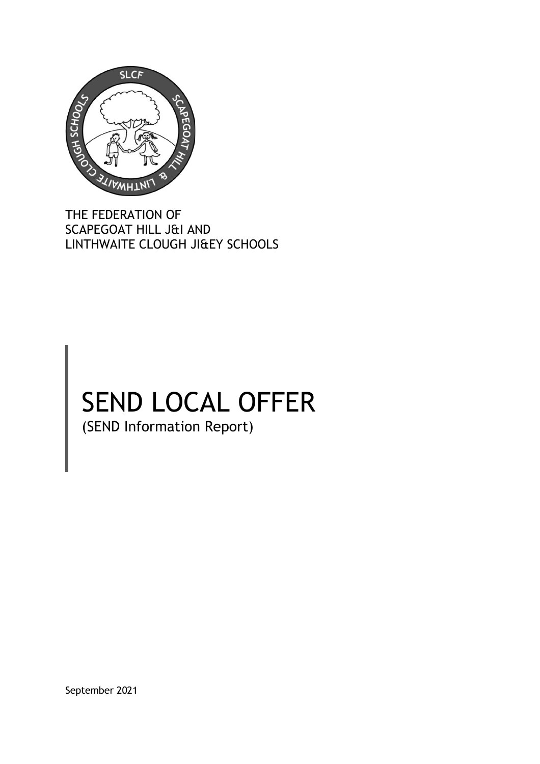

THE FEDERATION OF SCAPEGOAT HILL J&I AND LINTHWAITE CLOUGH JI&EY SCHOOLS

# SEND LOCAL OFFER (SEND Information Report)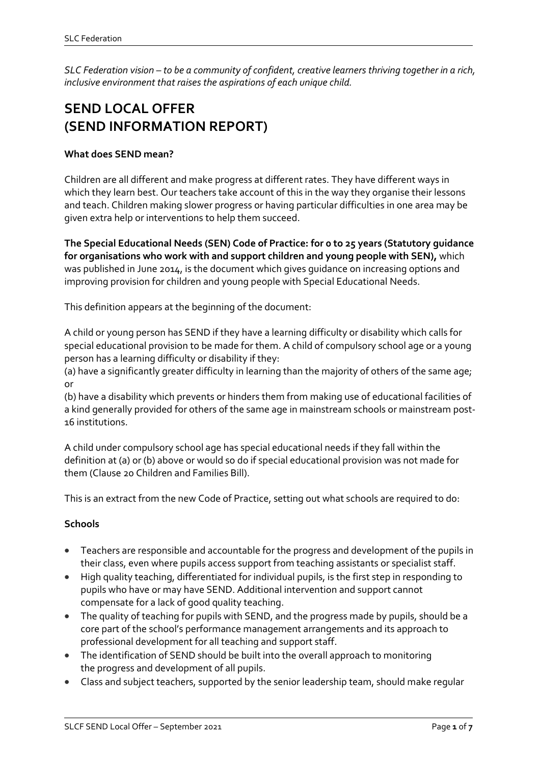*SLC Federation vision – to be a community of confident, creative learners thriving together in a rich, inclusive environment that raises the aspirations of each unique child.*

## **SEND LOCAL OFFER (SEND INFORMATION REPORT)**

#### **What does SEND mean?**

Children are all different and make progress at different rates. They have different ways in which they learn best. Our teachers take account of this in the way they organise their lessons and teach. Children making slower progress or having particular difficulties in one area may be given extra help or interventions to help them succeed.

**The Special Educational Needs (SEN) Code of Practice: for 0 to 25 years (Statutory guidance for organisations who work with and support children and young people with SEN),** which was published in June 2014, is the document which gives guidance on increasing options and improving provision for children and young people with Special Educational Needs.

This definition appears at the beginning of the document:

A child or young person has SEND if they have a learning difficulty or disability which calls for special educational provision to be made for them. A child of compulsory school age or a young person has a learning difficulty or disability if they:

(a) have a significantly greater difficulty in learning than the majority of others of the same age; or

(b) have a disability which prevents or hinders them from making use of educational facilities of a kind generally provided for others of the same age in mainstream schools or mainstream post-16 institutions.

A child under compulsory school age has special educational needs if they fall within the definition at (a) or (b) above or would so do if special educational provision was not made for them (Clause 20 Children and Families Bill).

This is an extract from the new Code of Practice, setting out what schools are required to do:

#### **Schools**

- Teachers are responsible and accountable for the progress and development of the pupils in their class, even where pupils access support from teaching assistants or specialist staff.
- High quality teaching, differentiated for individual pupils, is the first step in responding to pupils who have or may have SEND. Additional intervention and support cannot compensate for a lack of good quality teaching.
- The quality of teaching for pupils with SEND, and the progress made by pupils, should be a core part of the school's performance management arrangements and its approach to professional development for all teaching and support staff.
- The identification of SEND should be built into the overall approach to monitoring the progress and development of all pupils.
- Class and subject teachers, supported by the senior leadership team, should make regular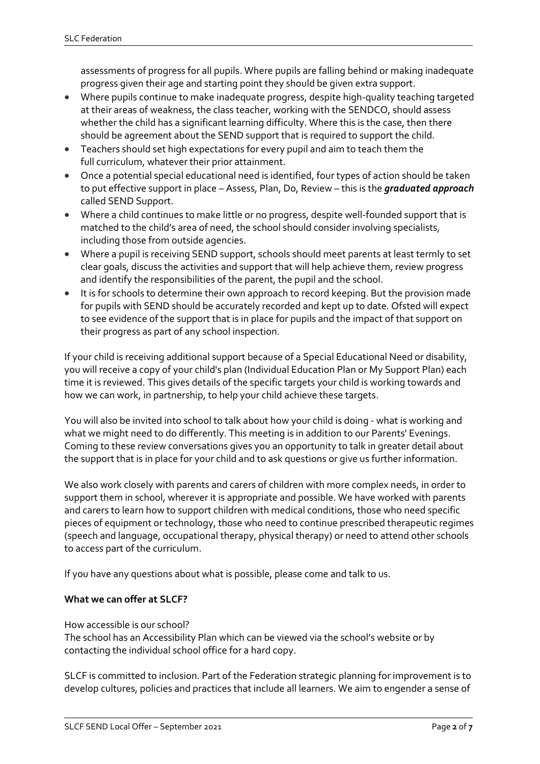assessments of progress for all pupils. Where pupils are falling behind or making inadequate progress given their age and starting point they should be given extra support.

- Where pupils continue to make inadequate progress, despite high-quality teaching targeted at their areas of weakness, the class teacher, working with the SENDCO, should assess whether the child has a significant learning difficulty. Where this is the case, then there should be agreement about the SEND support that is required to support the child.
- Teachers should set high expectations for every pupil and aim to teach them the full curriculum, whatever their prior attainment.
- Once a potential special educational need is identified, four types of action should be taken to put effective support in place – Assess, Plan, Do, Review – this is the *graduated approach* called SEND Support.
- Where a child continues to make little or no progress, despite well-founded support that is matched to the child's area of need, the school should consider involving specialists, including those from outside agencies.
- Where a pupil is receiving SEND support, schools should meet parents at least termly to set clear goals, discuss the activities and support that will help achieve them, review progress and identify the responsibilities of the parent, the pupil and the school.
- It is for schools to determine their own approach to record keeping. But the provision made for pupils with SEND should be accurately recorded and kept up to date. Ofsted will expect to see evidence of the support that is in place for pupils and the impact of that support on their progress as part of any school inspection.

If your child is receiving additional support because of a Special Educational Need or disability, you will receive a copy of your child's plan (Individual Education Plan or My Support Plan) each time it is reviewed. This gives details of the specific targets your child is working towards and how we can work, in partnership, to help your child achieve these targets.

You will also be invited into school to talk about how your child is doing - what is working and what we might need to do differently. This meeting is in addition to our Parents' Evenings. Coming to these review conversations gives you an opportunity to talk in greater detail about the support that is in place for your child and to ask questions or give us further information.

We also work closely with parents and carers of children with more complex needs, in order to support them in school, wherever it is appropriate and possible. We have worked with parents and carers to learn how to support children with medical conditions, those who need specific pieces of equipment or technology, those who need to continue prescribed therapeutic regimes (speech and language, occupational therapy, physical therapy) or need to attend other schools to access part of the curriculum.

If you have any questions about what is possible, please come and talk to us.

#### **What we can offer at SLCF?**

How accessible is our school?

The school has an Accessibility Plan which can be viewed via the school's website or by contacting the individual school office for a hard copy.

SLCF is committed to inclusion. Part of the Federation strategic planning for improvement is to develop cultures, policies and practices that include all learners. We aim to engender a sense of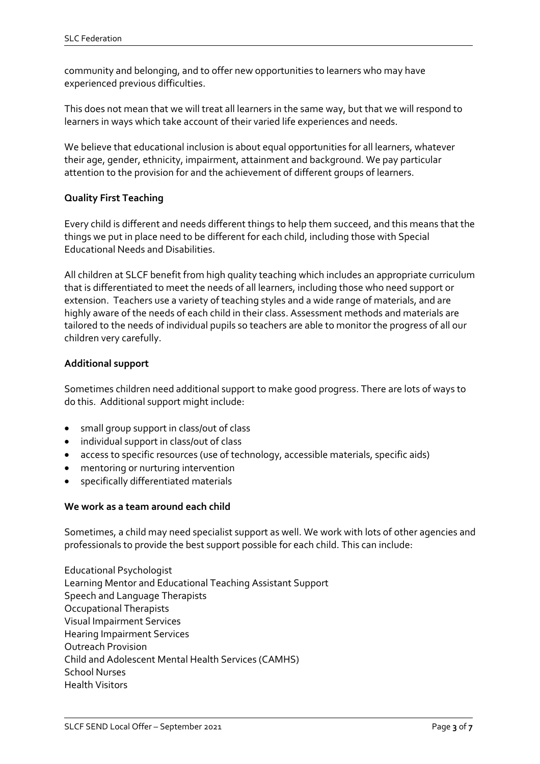community and belonging, and to offer new opportunities to learners who may have experienced previous difficulties.

This does not mean that we will treat all learners in the same way, but that we will respond to learners in ways which take account of their varied life experiences and needs.

We believe that educational inclusion is about equal opportunities for all learners, whatever their age, gender, ethnicity, impairment, attainment and background. We pay particular attention to the provision for and the achievement of different groups of learners.

#### **Quality First Teaching**

Every child is different and needs different things to help them succeed, and this means that the things we put in place need to be different for each child, including those with Special Educational Needs and Disabilities.

All children at SLCF benefit from high quality teaching which includes an appropriate curriculum that is differentiated to meet the needs of all learners, including those who need support or extension. Teachers use a variety of teaching styles and a wide range of materials, and are highly aware of the needs of each child in their class. Assessment methods and materials are tailored to the needs of individual pupils so teachers are able to monitor the progress of all our children very carefully.

#### **Additional support**

Sometimes children need additional support to make good progress. There are lots of ways to do this. Additional support might include:

- small group support in class/out of class
- individual support in class/out of class
- access to specific resources (use of technology, accessible materials, specific aids)
- mentoring or nurturing intervention
- specifically differentiated materials

#### **We work as a team around each child**

Sometimes, a child may need specialist support as well. We work with lots of other agencies and professionals to provide the best support possible for each child. This can include:

 $\overline{a}$ 

Educational Psychologist Learning Mentor and Educational Teaching Assistant Support Speech and Language Therapists Occupational Therapists Visual Impairment Services Hearing Impairment Services Outreach Provision Child and Adolescent Mental Health Services (CAMHS) School Nurses Health Visitors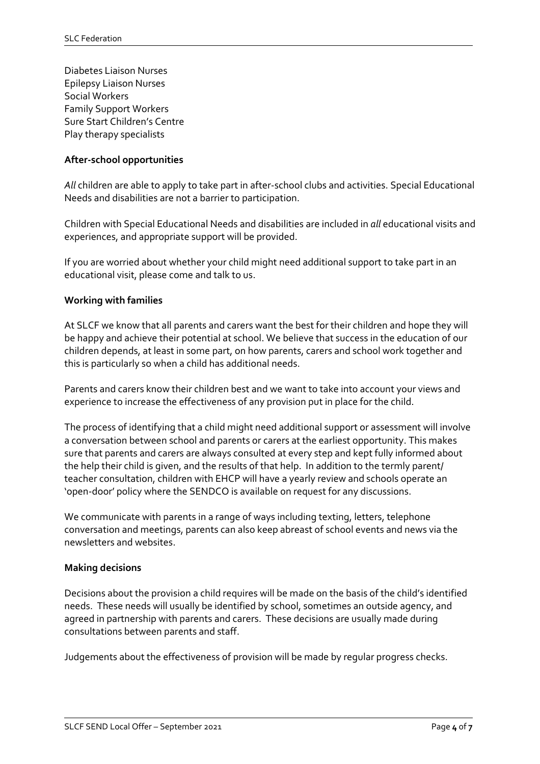Diabetes Liaison Nurses Epilepsy Liaison Nurses Social Workers Family Support Workers Sure Start Children's Centre Play therapy specialists

#### **After-school opportunities**

*All* children are able to apply to take part in after-school clubs and activities. Special Educational Needs and disabilities are not a barrier to participation.

Children with Special Educational Needs and disabilities are included in *all* educational visits and experiences, and appropriate support will be provided.

If you are worried about whether your child might need additional support to take part in an educational visit, please come and talk to us.

#### **Working with families**

At SLCF we know that all parents and carers want the best for their children and hope they will be happy and achieve their potential at school. We believe that success in the education of our children depends, at least in some part, on how parents, carers and school work together and this is particularly so when a child has additional needs.

Parents and carers know their children best and we want to take into account your views and experience to increase the effectiveness of any provision put in place for the child.

The process of identifying that a child might need additional support or assessment will involve a conversation between school and parents or carers at the earliest opportunity. This makes sure that parents and carers are always consulted at every step and kept fully informed about the help their child is given, and the results of that help. In addition to the termly parent/ teacher consultation, children with EHCP will have a yearly review and schools operate an 'open-door' policy where the SENDCO is available on request for any discussions.

We communicate with parents in a range of ways including texting, letters, telephone conversation and meetings, parents can also keep abreast of school events and news via the newsletters and websites.

#### **Making decisions**

Decisions about the provision a child requires will be made on the basis of the child's identified needs. These needs will usually be identified by school, sometimes an outside agency, and agreed in partnership with parents and carers. These decisions are usually made during consultations between parents and staff.

 $\overline{a}$ 

Judgements about the effectiveness of provision will be made by regular progress checks.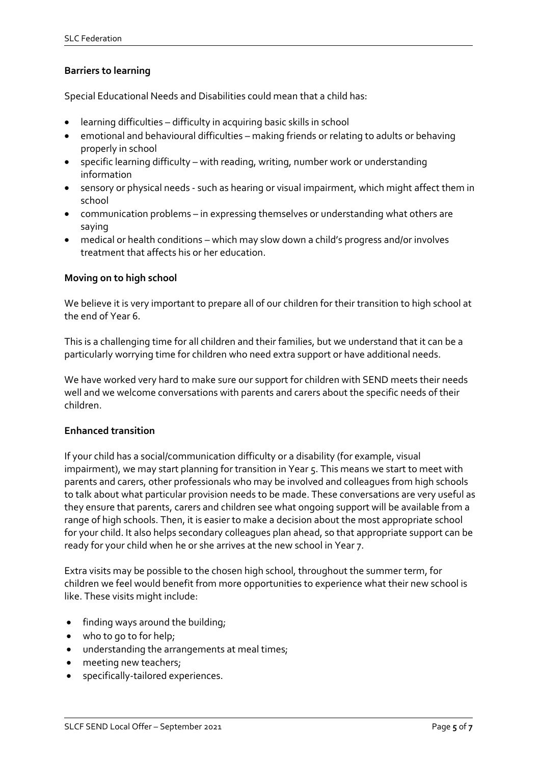#### **Barriers to learning**

Special Educational Needs and Disabilities could mean that a child has:

- learning difficulties difficulty in acquiring basic skills in school
- emotional and behavioural difficulties making friends or relating to adults or behaving properly in school
- specific learning difficulty with reading, writing, number work or understanding information
- sensory or physical needs such as hearing or visual impairment, which might affect them in school
- communication problems in expressing themselves or understanding what others are saying
- medical or health conditions which may slow down a child's progress and/or involves treatment that affects his or her education.

#### **Moving on to high school**

We believe it is very important to prepare all of our children for their transition to high school at the end of Year 6.

This is a challenging time for all children and their families, but we understand that it can be a particularly worrying time for children who need extra support or have additional needs.

We have worked very hard to make sure our support for children with SEND meets their needs well and we welcome conversations with parents and carers about the specific needs of their children.

#### **Enhanced transition**

If your child has a social/communication difficulty or a disability (for example, visual impairment), we may start planning for transition in Year 5. This means we start to meet with parents and carers, other professionals who may be involved and colleagues from high schools to talk about what particular provision needs to be made. These conversations are very useful as they ensure that parents, carers and children see what ongoing support will be available from a range of high schools. Then, it is easier to make a decision about the most appropriate school for your child. It also helps secondary colleagues plan ahead, so that appropriate support can be ready for your child when he or she arrives at the new school in Year 7.

Extra visits may be possible to the chosen high school, throughout the summer term, for children we feel would benefit from more opportunities to experience what their new school is like. These visits might include:

- finding ways around the building;
- who to go to for help;
- understanding the arrangements at meal times;
- meeting new teachers;
- specifically-tailored experiences.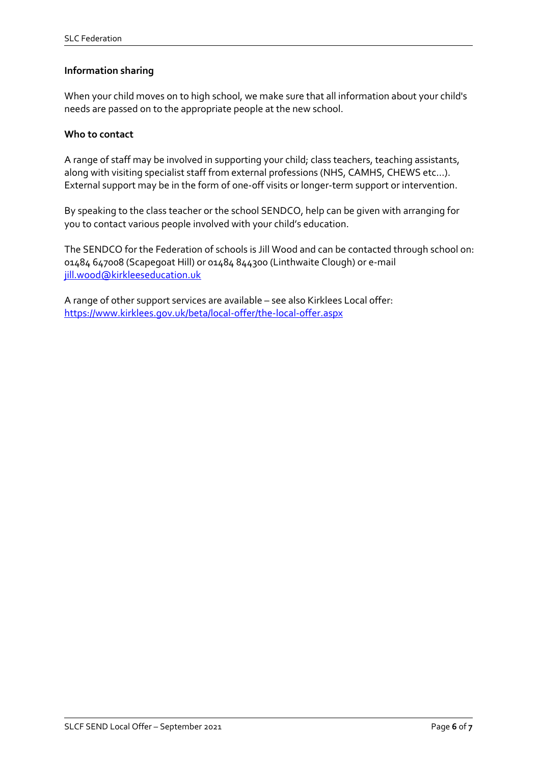#### **Information sharing**

When your child moves on to high school, we make sure that all information about your child's needs are passed on to the appropriate people at the new school.

#### **Who to contact**

A range of staff may be involved in supporting your child; class teachers, teaching assistants, along with visiting specialist staff from external professions (NHS, CAMHS, CHEWS etc…). External support may be in the form of one-off visits or longer-term support or intervention.

By speaking to the class teacher or the school SENDCO, help can be given with arranging for you to contact various people involved with your child's education.

The SENDCO for the Federation of schools is Jill Wood and can be contacted through school on: 01484 647008 (Scapegoat Hill) or 01484 844300 (Linthwaite Clough) or e-mail jill.wood@kirkleeseducation.uk

 $\overline{a}$ 

A range of other support services are available – see also Kirklees Local offer: <https://www.kirklees.gov.uk/beta/local-offer/the-local-offer.aspx>